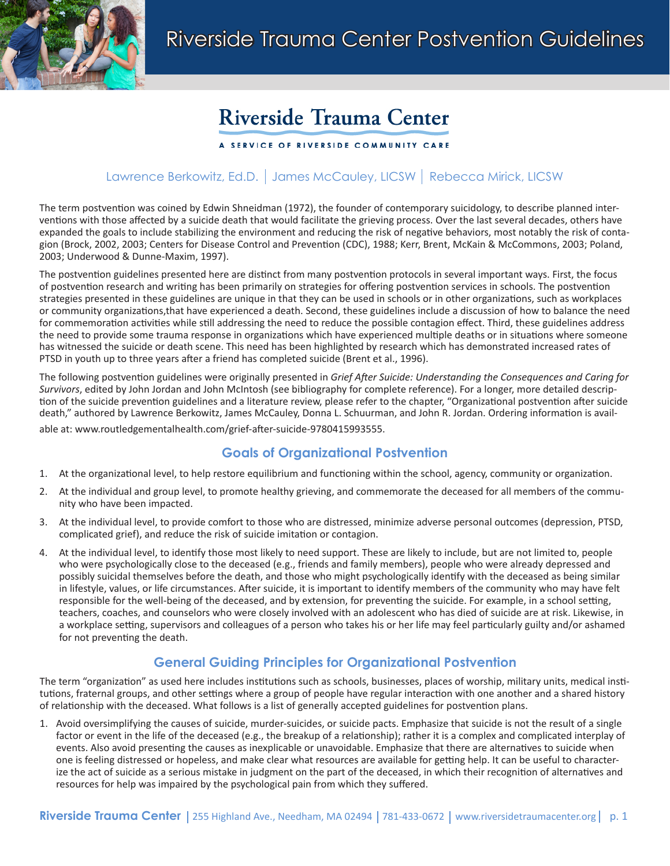

# **Riverside Trauma Center**

## A SERVICE OF RIVERSIDE COMMUNITY CARE

# Lawrence Berkowitz, Ed.D. | James McCauley, LICSW | Rebecca Mirick, LICSW

The term postvention was coined by Edwin Shneidman (1972), the founder of contemporary suicidology, to describe planned interventions with those affected by a suicide death that would facilitate the grieving process. Over the last several decades, others have expanded the goals to include stabilizing the environment and reducing the risk of negative behaviors, most notably the risk of contagion (Brock, 2002, 2003; Centers for Disease Control and Prevention (CDC), 1988; Kerr, Brent, McKain & McCommons, 2003; Poland, 2003; Underwood & Dunne-Maxim, 1997).

The postvention guidelines presented here are distinct from many postvention protocols in several important ways. First, the focus of postvention research and writing has been primarily on strategies for offering postvention services in schools. The postvention strategies presented in these guidelines are unique in that they can be used in schools or in other organizations, such as workplaces or community organizations,that have experienced a death. Second, these guidelines include a discussion of how to balance the need for commemoration activities while still addressing the need to reduce the possible contagion effect. Third, these guidelines address the need to provide some trauma response in organizations which have experienced multiple deaths or in situations where someone has witnessed the suicide or death scene. This need has been highlighted by research which has demonstrated increased rates of PTSD in youth up to three years after a friend has completed suicide (Brent et al., 1996).

The following postvention guidelines were originally presented in *Grief After Suicide: Understanding the Consequences and Caring for Survivors*, edited by John Jordan and John McIntosh (see bibliography for complete reference). For a longer, more detailed description of the suicide prevention guidelines and a literature review, please refer to the chapter, "Organizational postvention after suicide death," authored by Lawrence Berkowitz, James McCauley, Donna L. Schuurman, and John R. Jordan. Ordering information is avail-

able at: www.routledgementalhealth.com/grief-after-suicide-9780415993555.

# **Goals of Organizational Postvention**

- 1. At the organizational level, to help restore equilibrium and functioning within the school, agency, community or organization.
- 2. At the individual and group level, to promote healthy grieving, and commemorate the deceased for all members of the community who have been impacted.
- 3. At the individual level, to provide comfort to those who are distressed, minimize adverse personal outcomes (depression, PTSD, complicated grief), and reduce the risk of suicide imitation or contagion.
- 4. At the individual level, to identify those most likely to need support. These are likely to include, but are not limited to, people who were psychologically close to the deceased (e.g., friends and family members), people who were already depressed and possibly suicidal themselves before the death, and those who might psychologically identify with the deceased as being similar in lifestyle, values, or life circumstances. After suicide, it is important to identify members of the community who may have felt responsible for the well-being of the deceased, and by extension, for preventing the suicide. For example, in a school setting, teachers, coaches, and counselors who were closely involved with an adolescent who has died of suicide are at risk. Likewise, in a workplace setting, supervisors and colleagues of a person who takes his or her life may feel particularly guilty and/or ashamed for not preventing the death.

# **General Guiding Principles for Organizational Postvention**

The term "organization" as used here includes institutions such as schools, businesses, places of worship, military units, medical institutions, fraternal groups, and other settings where a group of people have regular interaction with one another and a shared history of relationship with the deceased. What follows is a list of generally accepted guidelines for postvention plans.

1. Avoid oversimplifying the causes of suicide, murder-suicides, or suicide pacts. Emphasize that suicide is not the result of a single factor or event in the life of the deceased (e.g., the breakup of a relationship); rather it is a complex and complicated interplay of events. Also avoid presenting the causes as inexplicable or unavoidable. Emphasize that there are alternatives to suicide when one is feeling distressed or hopeless, and make clear what resources are available for getting help. It can be useful to characterize the act of suicide as a serious mistake in judgment on the part of the deceased, in which their recognition of alternatives and resources for help was impaired by the psychological pain from which they suffered.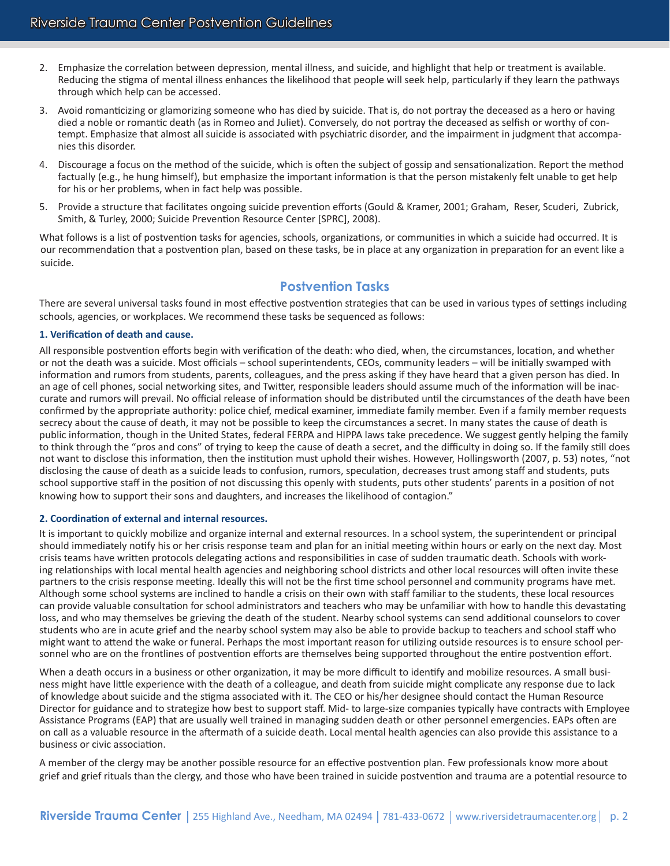- 2. Emphasize the correlation between depression, mental illness, and suicide, and highlight that help or treatment is available. Reducing the stigma of mental illness enhances the likelihood that people will seek help, particularly if they learn the pathways through which help can be accessed.
- 3. Avoid romanticizing or glamorizing someone who has died by suicide. That is, do not portray the deceased as a hero or having died a noble or romantic death (as in Romeo and Juliet). Conversely, do not portray the deceased as selfish or worthy of contempt. Emphasize that almost all suicide is associated with psychiatric disorder, and the impairment in judgment that accompanies this disorder.
- 4. Discourage a focus on the method of the suicide, which is often the subject of gossip and sensationalization. Report the method factually (e.g., he hung himself), but emphasize the important information is that the person mistakenly felt unable to get help for his or her problems, when in fact help was possible.
- 5. Provide a structure that facilitates ongoing suicide prevention efforts (Gould & Kramer, 2001; Graham, Reser, Scuderi, Zubrick, Smith, & Turley, 2000; Suicide Prevention Resource Center [SPRC], 2008).

What follows is a list of postvention tasks for agencies, schools, organizations, or communities in which a suicide had occurred. It is our recommendation that a postvention plan, based on these tasks, be in place at any organization in preparation for an event like a suicide.

## **Postvention Tasks**

There are several universal tasks found in most effective postvention strategies that can be used in various types of settings including schools, agencies, or workplaces. We recommend these tasks be sequenced as follows:

#### **1. Verification of death and cause.**

All responsible postvention efforts begin with verification of the death: who died, when, the circumstances, location, and whether or not the death was a suicide. Most officials – school superintendents, CEOs, community leaders – will be initially swamped with information and rumors from students, parents, colleagues, and the press asking if they have heard that a given person has died. In an age of cell phones, social networking sites, and Twitter, responsible leaders should assume much of the information will be inaccurate and rumors will prevail. No official release of information should be distributed until the circumstances of the death have been confirmed by the appropriate authority: police chief, medical examiner, immediate family member. Even if a family member requests secrecy about the cause of death, it may not be possible to keep the circumstances a secret. In many states the cause of death is public information, though in the United States, federal FERPA and HIPPA laws take precedence. We suggest gently helping the family to think through the "pros and cons" of trying to keep the cause of death a secret, and the difficulty in doing so. If the family still does not want to disclose this information, then the institution must uphold their wishes. However, Hollingsworth (2007, p. 53) notes, "not disclosing the cause of death as a suicide leads to confusion, rumors, speculation, decreases trust among staff and students, puts school supportive staff in the position of not discussing this openly with students, puts other students' parents in a position of not knowing how to support their sons and daughters, and increases the likelihood of contagion."

#### **2. Coordination of external and internal resources.**

It is important to quickly mobilize and organize internal and external resources. In a school system, the superintendent or principal should immediately notify his or her crisis response team and plan for an initial meeting within hours or early on the next day. Most crisis teams have written protocols delegating actions and responsibilities in case of sudden traumatic death. Schools with working relationships with local mental health agencies and neighboring school districts and other local resources will often invite these partners to the crisis response meeting. Ideally this will not be the first time school personnel and community programs have met. Although some school systems are inclined to handle a crisis on their own with staff familiar to the students, these local resources can provide valuable consultation for school administrators and teachers who may be unfamiliar with how to handle this devastating loss, and who may themselves be grieving the death of the student. Nearby school systems can send additional counselors to cover students who are in acute grief and the nearby school system may also be able to provide backup to teachers and school staff who might want to attend the wake or funeral. Perhaps the most important reason for utilizing outside resources is to ensure school personnel who are on the frontlines of postvention efforts are themselves being supported throughout the entire postvention effort.

When a death occurs in a business or other organization, it may be more difficult to identify and mobilize resources. A small business might have little experience with the death of a colleague, and death from suicide might complicate any response due to lack of knowledge about suicide and the stigma associated with it. The CEO or his/her designee should contact the Human Resource Director for guidance and to strategize how best to support staff. Mid- to large-size companies typically have contracts with Employee Assistance Programs (EAP) that are usually well trained in managing sudden death or other personnel emergencies. EAPs often are on call as a valuable resource in the aftermath of a suicide death. Local mental health agencies can also provide this assistance to a business or civic association.

A member of the clergy may be another possible resource for an effective postvention plan. Few professionals know more about grief and grief rituals than the clergy, and those who have been trained in suicide postvention and trauma are a potential resource to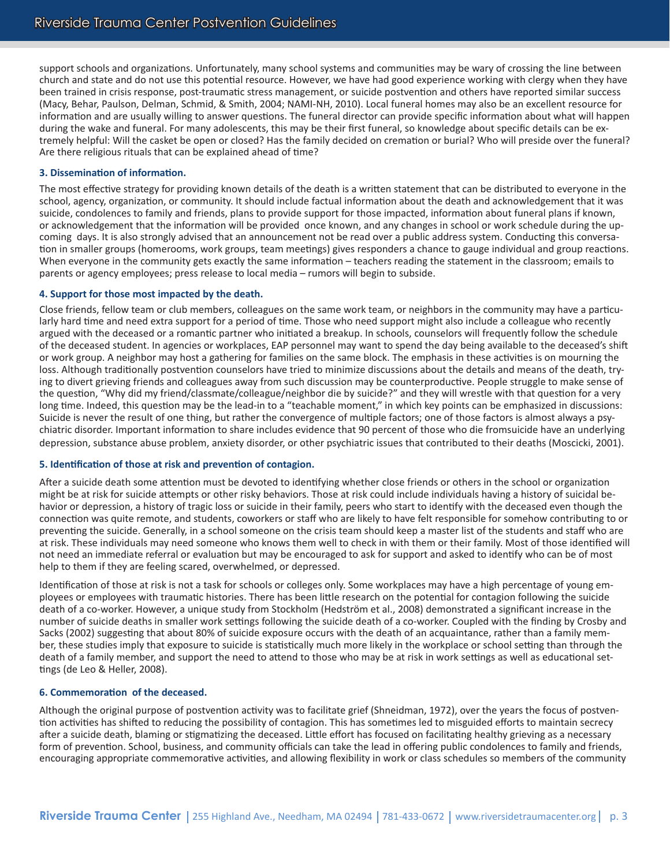support schools and organizations. Unfortunately, many school systems and communities may be wary of crossing the line between church and state and do not use this potential resource. However, we have had good experience working with clergy when they have been trained in crisis response, post-traumatic stress management, or suicide postvention and others have reported similar success (Macy, Behar, Paulson, Delman, Schmid, & Smith, 2004; NAMI-NH, 2010). Local funeral homes may also be an excellent resource for information and are usually willing to answer questions. The funeral director can provide specific information about what will happen during the wake and funeral. For many adolescents, this may be their first funeral, so knowledge about specific details can be extremely helpful: Will the casket be open or closed? Has the family decided on cremation or burial? Who will preside over the funeral? Are there religious rituals that can be explained ahead of time?

#### **3. Dissemination of information.**

The most effective strategy for providing known details of the death is a written statement that can be distributed to everyone in the school, agency, organization, or community. It should include factual information about the death and acknowledgement that it was suicide, condolences to family and friends, plans to provide support for those impacted, information about funeral plans if known, or acknowledgement that the information will be provided once known, and any changes in school or work schedule during the upcoming days. It is also strongly advised that an announcement not be read over a public address system. Conducting this conversation in smaller groups (homerooms, work groups, team meetings) gives responders a chance to gauge individual and group reactions. When everyone in the community gets exactly the same information – teachers reading the statement in the classroom; emails to parents or agency employees; press release to local media – rumors will begin to subside.

#### **4. Support for those most impacted by the death.**

Close friends, fellow team or club members, colleagues on the same work team, or neighbors in the community may have a particularly hard time and need extra support for a period of time. Those who need support might also include a colleague who recently argued with the deceased or a romantic partner who initiated a breakup. In schools, counselors will frequently follow the schedule of the deceased student. In agencies or workplaces, EAP personnel may want to spend the day being available to the deceased's shift or work group. A neighbor may host a gathering for families on the same block. The emphasis in these activities is on mourning the loss. Although traditionally postvention counselors have tried to minimize discussions about the details and means of the death, trying to divert grieving friends and colleagues away from such discussion may be counterproductive. People struggle to make sense of the question, "Why did my friend/classmate/colleague/neighbor die by suicide?" and they will wrestle with that question for a very long time. Indeed, this question may be the lead-in to a "teachable moment," in which key points can be emphasized in discussions: Suicide is never the result of one thing, but rather the convergence of multiple factors; one of those factors is almost always a psychiatric disorder. Important information to share includes evidence that 90 percent of those who die fromsuicide have an underlying depression, substance abuse problem, anxiety disorder, or other psychiatric issues that contributed to their deaths (Moscicki, 2001).

#### **5. Identification of those at risk and prevention of contagion.**

After a suicide death some attention must be devoted to identifying whether close friends or others in the school or organization might be at risk for suicide attempts or other risky behaviors. Those at risk could include individuals having a history of suicidal behavior or depression, a history of tragic loss or suicide in their family, peers who start to identify with the deceased even though the connection was quite remote, and students, coworkers or staff who are likely to have felt responsible for somehow contributing to or preventing the suicide. Generally, in a school someone on the crisis team should keep a master list of the students and staff who are at risk. These individuals may need someone who knows them well to check in with them or their family. Most of those identified will not need an immediate referral or evaluation but may be encouraged to ask for support and asked to identify who can be of most help to them if they are feeling scared, overwhelmed, or depressed.

Identification of those at risk is not a task for schools or colleges only. Some workplaces may have a high percentage of young employees or employees with traumatic histories. There has been little research on the potential for contagion following the suicide death of a co-worker. However, a unique study from Stockholm (Hedström et al., 2008) demonstrated a significant increase in the number of suicide deaths in smaller work settings following the suicide death of a co-worker. Coupled with the finding by Crosby and Sacks (2002) suggesting that about 80% of suicide exposure occurs with the death of an acquaintance, rather than a family member, these studies imply that exposure to suicide is statistically much more likely in the workplace or school setting than through the death of a family member, and support the need to attend to those who may be at risk in work settings as well as educational settings (de Leo & Heller, 2008).

#### **6. Commemoration of the deceased.**

Although the original purpose of postvention activity was to facilitate grief (Shneidman, 1972), over the years the focus of postvention activities has shifted to reducing the possibility of contagion. This has sometimes led to misguided efforts to maintain secrecy after a suicide death, blaming or stigmatizing the deceased. Little effort has focused on facilitating healthy grieving as a necessary form of prevention. School, business, and community officials can take the lead in offering public condolences to family and friends, encouraging appropriate commemorative activities, and allowing flexibility in work or class schedules so members of the community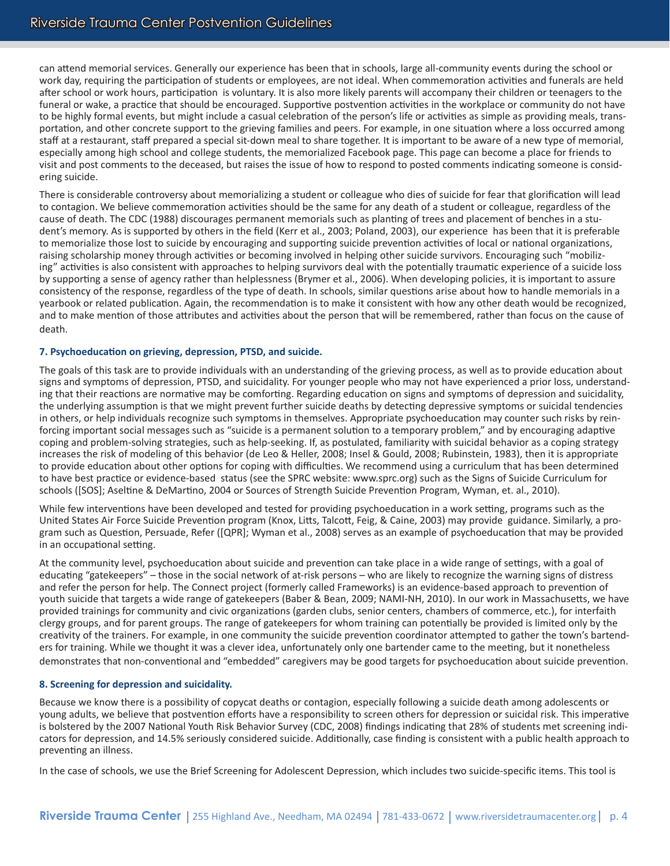can attend memorial services. Generally our experience has been that in schools, large all-community events during the school or work day, requiring the participation of students or employees, are not ideal. When commemoration activities and funerals are held after school or work hours, participation is voluntary. It is also more likely parents will accompany their children or teenagers to the funeral or wake, a practice that should be encouraged. Supportive postvention activities in the workplace or community do not have to be highly formal events, but might include a casual celebration of the person's life or activities as simple as providing meals, transportation, and other concrete support to the grieving families and peers. For example, in one situation where a loss occurred among staff at a restaurant, staff prepared a special sit-down meal to share together. It is important to be aware of a new type of memorial, especially among high school and college students, the memorialized Facebook page. This page can become a place for friends to visit and post comments to the deceased, but raises the issue of how to respond to posted comments indicating someone is considering suicide.

There is considerable controversy about memorializing a student or colleague who dies of suicide for fear that glorification will lead to contagion. We believe commemoration activities should be the same for any death of a student or colleague, regardless of the cause of death. The CDC (1988) discourages permanent memorials such as planting of trees and placement of benches in a student's memory. As is supported by others in the field (Kerr et al., 2003; Poland, 2003), our experience has been that it is preferable to memorialize those lost to suicide by encouraging and supporting suicide prevention activities of local or national organizations, raising scholarship money through activities or becoming involved in helping other suicide survivors. Encouraging such "mobilizing" activities is also consistent with approaches to helping survivors deal with the potentially traumatic experience of a suicide loss by supporting a sense of agency rather than helplessness (Brymer et al., 2006). When developing policies, it is important to assure consistency of the response, regardless of the type of death. In schools, similar questions arise about how to handle memorials in a yearbook or related publication. Again, the recommendation is to make it consistent with how any other death would be recognized, and to make mention of those attributes and activities about the person that will be remembered, rather than focus on the cause of death.

#### **7. Psychoeducation on grieving, depression, PTSD, and suicide.**

The goals of this task are to provide individuals with an understanding of the grieving process, as well as to provide education about signs and symptoms of depression, PTSD, and suicidality. For younger people who may not have experienced a prior loss, understanding that their reactions are normative may be comforting. Regarding education on signs and symptoms of depression and suicidality, the underlying assumption is that we might prevent further suicide deaths by detecting depressive symptoms or suicidal tendencies in others, or help individuals recognize such symptoms in themselves. Appropriate psychoeducation may counter such risks by reinforcing important social messages such as "suicide is a permanent solution to a temporary problem," and by encouraging adaptive coping and problem-solving strategies, such as help-seeking. If, as postulated, familiarity with suicidal behavior as a coping strategy increases the risk of modeling of this behavior (de Leo & Heller, 2008; Insel & Gould, 2008; Rubinstein, 1983), then it is appropriate to provide education about other options for coping with difficulties. We recommend using a curriculum that has been determined to have best practice or evidence-based status (see the SPRC website: www.sprc.org) such as the Signs of Suicide Curriculum for schools ([SOS]; Aseltine & DeMartino, 2004 or Sources of Strength Suicide Prevention Program, Wyman, et. al., 2010).

While few interventions have been developed and tested for providing psychoeducation in a work setting, programs such as the United States Air Force Suicide Prevention program (Knox, Litts, Talcott, Feig, & Caine, 2003) may provide guidance. Similarly, a program such as Question, Persuade, Refer ([QPR]; Wyman et al., 2008) serves as an example of psychoeducation that may be provided in an occupational setting.

At the community level, psychoeducation about suicide and prevention can take place in a wide range of settings, with a goal of educating "gatekeepers" – those in the social network of at-risk persons – who are likely to recognize the warning signs of distress and refer the person for help. The Connect project (formerly called Frameworks) is an evidence-based approach to prevention of youth suicide that targets a wide range of gatekeepers (Baber & Bean, 2009; NAMI-NH, 2010). In our work in Massachusetts, we have provided trainings for community and civic organizations (garden clubs, senior centers, chambers of commerce, etc.), for interfaith clergy groups, and for parent groups. The range of gatekeepers for whom training can potentially be provided is limited only by the creativity of the trainers. For example, in one community the suicide prevention coordinator attempted to gather the town's bartenders for training. While we thought it was a clever idea, unfortunately only one bartender came to the meeting, but it nonetheless demonstrates that non-conventional and "embedded" caregivers may be good targets for psychoeducation about suicide prevention.

#### **8. Screening for depression and suicidality.**

Because we know there is a possibility of copycat deaths or contagion, especially following a suicide death among adolescents or young adults, we believe that postvention efforts have a responsibility to screen others for depression or suicidal risk. This imperative is bolstered by the 2007 National Youth Risk Behavior Survey (CDC, 2008) findings indicating that 28% of students met screening indicators for depression, and 14.5% seriously considered suicide. Additionally, case finding is consistent with a public health approach to preventing an illness.

In the case of schools, we use the Brief Screening for Adolescent Depression, which includes two suicide-specific items. This tool is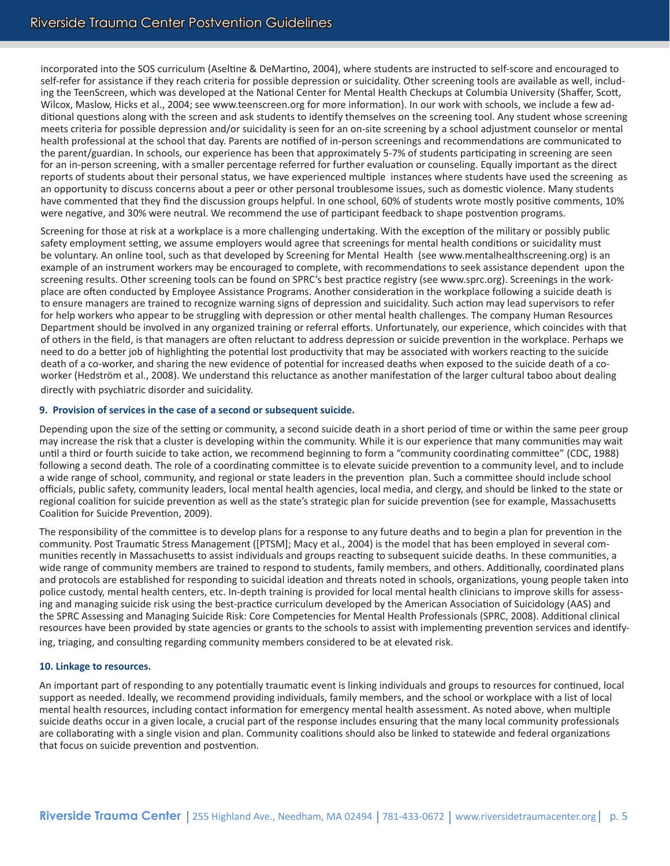incorporated into the SOS curriculum (Aseltine & DeMartino, 2004), where students are instructed to self-score and encouraged to self-refer for assistance if they reach criteria for possible depression or suicidality. Other screening tools are available as well, including the TeenScreen, which was developed at the National Center for Mental Health Checkups at Columbia University (Shaffer, Scott, Wilcox, Maslow, Hicks et al., 2004; see www.teenscreen.org for more information). In our work with schools, we include a few additional questions along with the screen and ask students to identify themselves on the screening tool. Any student whose screening meets criteria for possible depression and/or suicidality is seen for an on-site screening by a school adjustment counselor or mental health professional at the school that day. Parents are notified of in-person screenings and recommendations are communicated to the parent/guardian. In schools, our experience has been that approximately 5-7% of students participating in screening are seen for an in-person screening, with a smaller percentage referred for further evaluation or counseling. Equally important as the direct reports of students about their personal status, we have experienced multiple instances where students have used the screening as an opportunity to discuss concerns about a peer or other personal troublesome issues, such as domestic violence. Many students have commented that they find the discussion groups helpful. In one school, 60% of students wrote mostly positive comments, 10% were negative, and 30% were neutral. We recommend the use of participant feedback to shape postvention programs.

Screening for those at risk at a workplace is a more challenging undertaking. With the exception of the military or possibly public safety employment setting, we assume employers would agree that screenings for mental health conditions or suicidality must be voluntary. An online tool, such as that developed by Screening for Mental Health (see www.mentalhealthscreening.org) is an example of an instrument workers may be encouraged to complete, with recommendations to seek assistance dependent upon the screening results. Other screening tools can be found on SPRC's best practice registry (see www.sprc.org). Screenings in the workplace are often conducted by Employee Assistance Programs. Another consideration in the workplace following a suicide death is to ensure managers are trained to recognize warning signs of depression and suicidality. Such action may lead supervisors to refer for help workers who appear to be struggling with depression or other mental health challenges. The company Human Resources Department should be involved in any organized training or referral efforts. Unfortunately, our experience, which coincides with that of others in the field, is that managers are often reluctant to address depression or suicide prevention in the workplace. Perhaps we need to do a better job of highlighting the potential lost productivity that may be associated with workers reacting to the suicide death of a co-worker, and sharing the new evidence of potential for increased deaths when exposed to the suicide death of a coworker (Hedström et al., 2008). We understand this reluctance as another manifestation of the larger cultural taboo about dealing directly with psychiatric disorder and suicidality.

#### **9. Provision of services in the case of a second or subsequent suicide.**

Depending upon the size of the setting or community, a second suicide death in a short period of time or within the same peer group may increase the risk that a cluster is developing within the community. While it is our experience that many communities may wait until a third or fourth suicide to take action, we recommend beginning to form a "community coordinating committee" (CDC, 1988) following a second death. The role of a coordinating committee is to elevate suicide prevention to a community level, and to include a wide range of school, community, and regional or state leaders in the prevention plan. Such a committee should include school officials, public safety, community leaders, local mental health agencies, local media, and clergy, and should be linked to the state or regional coalition for suicide prevention as well as the state's strategic plan for suicide prevention (see for example, Massachusetts Coalition for Suicide Prevention, 2009).

The responsibility of the committee is to develop plans for a response to any future deaths and to begin a plan for prevention in the community. Post Traumatic Stress Management ([PTSM]; Macy et al., 2004) is the model that has been employed in several communities recently in Massachusetts to assist individuals and groups reacting to subsequent suicide deaths. In these communities, a wide range of community members are trained to respond to students, family members, and others. Additionally, coordinated plans and protocols are established for responding to suicidal ideation and threats noted in schools, organizations, young people taken into police custody, mental health centers, etc. In-depth training is provided for local mental health clinicians to improve skills for assessing and managing suicide risk using the best-practice curriculum developed by the American Association of Suicidology (AAS) and the SPRC Assessing and Managing Suicide Risk: Core Competencies for Mental Health Professionals (SPRC, 2008). Additional clinical resources have been provided by state agencies or grants to the schools to assist with implementing prevention services and identifying, triaging, and consulting regarding community members considered to be at elevated risk.

#### **10. Linkage to resources.**

An important part of responding to any potentially traumatic event is linking individuals and groups to resources for continued, local support as needed. Ideally, we recommend providing individuals, family members, and the school or workplace with a list of local mental health resources, including contact information for emergency mental health assessment. As noted above, when multiple suicide deaths occur in a given locale, a crucial part of the response includes ensuring that the many local community professionals are collaborating with a single vision and plan. Community coalitions should also be linked to statewide and federal organizations that focus on suicide prevention and postvention.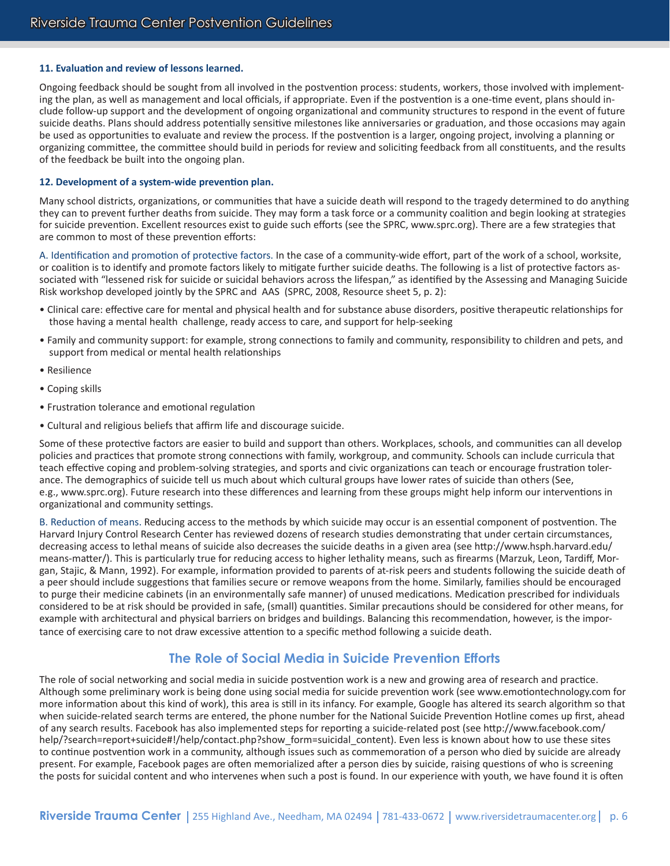#### **11. Evaluation and review of lessons learned.**

Ongoing feedback should be sought from all involved in the postvention process: students, workers, those involved with implementing the plan, as well as management and local officials, if appropriate. Even if the postvention is a one-time event, plans should include follow-up support and the development of ongoing organizational and community structures to respond in the event of future suicide deaths. Plans should address potentially sensitive milestones like anniversaries or graduation, and those occasions may again be used as opportunities to evaluate and review the process. If the postvention is a larger, ongoing project, involving a planning or organizing committee, the committee should build in periods for review and soliciting feedback from all constituents, and the results of the feedback be built into the ongoing plan.

#### **12. Development of a system-wide prevention plan.**

Many school districts, organizations, or communities that have a suicide death will respond to the tragedy determined to do anything they can to prevent further deaths from suicide. They may form a task force or a community coalition and begin looking at strategies for suicide prevention. Excellent resources exist to guide such efforts (see the SPRC, www.sprc.org). There are a few strategies that are common to most of these prevention efforts:

A. Identification and promotion of protective factors. In the case of a community-wide effort, part of the work of a school, worksite, or coalition is to identify and promote factors likely to mitigate further suicide deaths. The following is a list of protective factors associated with "lessened risk for suicide or suicidal behaviors across the lifespan," as identified by the Assessing and Managing Suicide Risk workshop developed jointly by the SPRC and AAS (SPRC, 2008, Resource sheet 5, p. 2):

- Clinical care: effective care for mental and physical health and for substance abuse disorders, positive therapeutic relationships for those having a mental health challenge, ready access to care, and support for help-seeking
- Family and community support: for example, strong connections to family and community, responsibility to children and pets, and support from medical or mental health relationships
- Resilience
- Coping skills
- Frustration tolerance and emotional regulation
- Cultural and religious beliefs that affirm life and discourage suicide.

Some of these protective factors are easier to build and support than others. Workplaces, schools, and communities can all develop policies and practices that promote strong connections with family, workgroup, and community. Schools can include curricula that teach effective coping and problem-solving strategies, and sports and civic organizations can teach or encourage frustration tolerance. The demographics of suicide tell us much about which cultural groups have lower rates of suicide than others (See, e.g., www.sprc.org). Future research into these differences and learning from these groups might help inform our interventions in organizational and community settings.

B. Reduction of means. Reducing access to the methods by which suicide may occur is an essential component of postvention. The Harvard Injury Control Research Center has reviewed dozens of research studies demonstrating that under certain circumstances, decreasing access to lethal means of suicide also decreases the suicide deaths in a given area (see http://www.hsph.harvard.edu/ means-matter/). This is particularly true for reducing access to higher lethality means, such as firearms (Marzuk, Leon, Tardiff, Morgan, Stajic, & Mann, 1992). For example, information provided to parents of at-risk peers and students following the suicide death of a peer should include suggestions that families secure or remove weapons from the home. Similarly, families should be encouraged to purge their medicine cabinets (in an environmentally safe manner) of unused medications. Medication prescribed for individuals considered to be at risk should be provided in safe, (small) quantities. Similar precautions should be considered for other means, for example with architectural and physical barriers on bridges and buildings. Balancing this recommendation, however, is the importance of exercising care to not draw excessive attention to a specific method following a suicide death.

# **The Role of Social Media in Suicide Prevention Efforts**

The role of social networking and social media in suicide postvention work is a new and growing area of research and practice. Although some preliminary work is being done using social media for suicide prevention work (see www.emotiontechnology.com for more information about this kind of work), this area is still in its infancy. For example, Google has altered its search algorithm so that when suicide-related search terms are entered, the phone number for the National Suicide Prevention Hotline comes up first, ahead of any search results. Facebook has also implemented steps for reporting a suicide-related post (see http://www.facebook.com/ help/?search=report+suicide#!/help/contact.php?show form=suicidal content). Even less is known about how to use these sites to continue postvention work in a community, although issues such as commemoration of a person who died by suicide are already present. For example, Facebook pages are often memorialized after a person dies by suicide, raising questions of who is screening the posts for suicidal content and who intervenes when such a post is found. In our experience with youth, we have found it is often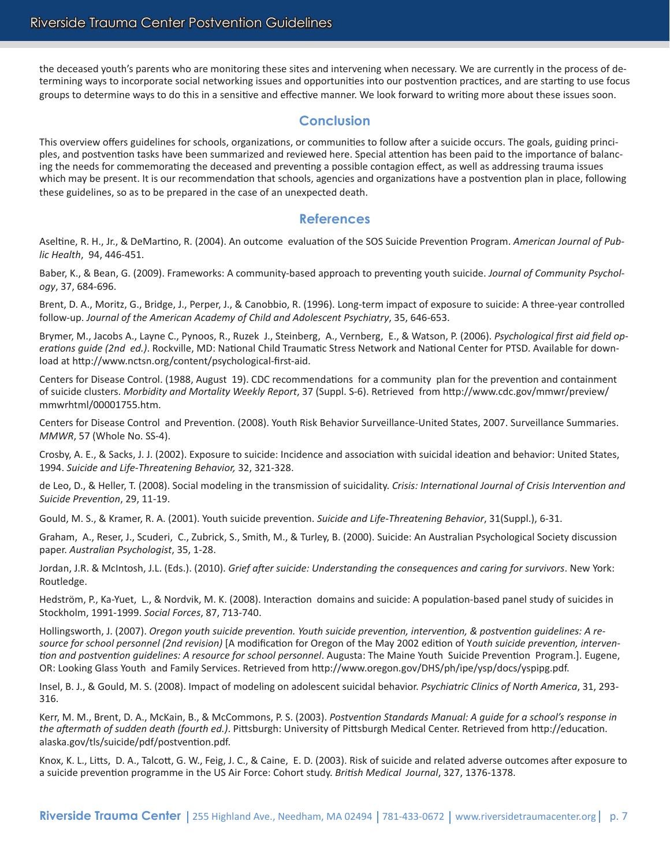the deceased youth's parents who are monitoring these sites and intervening when necessary. We are currently in the process of determining ways to incorporate social networking issues and opportunities into our postvention practices, and are starting to use focus groups to determine ways to do this in a sensitive and effective manner. We look forward to writing more about these issues soon.

## **Conclusion**

This overview offers guidelines for schools, organizations, or communities to follow after a suicide occurs. The goals, guiding principles, and postvention tasks have been summarized and reviewed here. Special attention has been paid to the importance of balancing the needs for commemorating the deceased and preventing a possible contagion effect, as well as addressing trauma issues which may be present. It is our recommendation that schools, agencies and organizations have a postvention plan in place, following these guidelines, so as to be prepared in the case of an unexpected death.

## **References**

Aseltine, R. H., Jr., & DeMartino, R. (2004). An outcome evaluation of the SOS Suicide Prevention Program. *American Journal of Public Health*, 94, 446-451.

Baber, K., & Bean, G. (2009). Frameworks: A community-based approach to preventing youth suicide. *Journal of Community Psychology*, 37, 684-696.

Brent, D. A., Moritz, G., Bridge, J., Perper, J., & Canobbio, R. (1996). Long-term impact of exposure to suicide: A three-year controlled follow-up. *Journal of the American Academy of Child and Adolescent Psychiatry*, 35, 646-653.

Brymer, M., Jacobs A., Layne C., Pynoos, R., Ruzek J., Steinberg, A., Vernberg, E., & Watson, P. (2006). *Psychological first aid field operations guide (2nd ed.)*. Rockville, MD: National Child Traumatic Stress Network and National Center for PTSD. Available for download at http://www.nctsn.org/content/psychological-first-aid.

Centers for Disease Control. (1988, August 19). CDC recommendations for a community plan for the prevention and containment of suicide clusters. *Morbidity and Mortality Weekly Report*, 37 (Suppl. S-6). Retrieved from http://www.cdc.gov/mmwr/preview/ mmwrhtml/00001755.htm.

Centers for Disease Control and Prevention. (2008). Youth Risk Behavior Surveillance-United States, 2007. Surveillance Summaries. *MMWR*, 57 (Whole No. SS-4).

Crosby, A. E., & Sacks, J. J. (2002). Exposure to suicide: Incidence and association with suicidal ideation and behavior: United States, 1994. *Suicide and Life-Threatening Behavior,* 32, 321-328.

de Leo, D., & Heller, T. (2008). Social modeling in the transmission of suicidality. *Crisis: International Journal of Crisis Intervention and Suicide Prevention*, 29, 11-19.

Gould, M. S., & Kramer, R. A. (2001). Youth suicide prevention. *Suicide and Life-Threatening Behavior*, 31(Suppl.), 6-31.

Graham, A., Reser, J., Scuderi, C., Zubrick, S., Smith, M., & Turley, B. (2000). Suicide: An Australian Psychological Society discussion paper. *Australian Psychologist*, 35, 1-28.

Jordan, J.R. & McIntosh, J.L. (Eds.). (2010). *Grief after suicide: Understanding the consequences and caring for survivors*. New York: Routledge.

Hedström, P., Ka-Yuet, L., & Nordvik, M. K. (2008). Interaction domains and suicide: A population-based panel study of suicides in Stockholm, 1991-1999. *Social Forces*, 87, 713-740.

Hollingsworth, J. (2007). *Oregon youth suicide prevention. Youth suicide prevention, intervention, & postvention guidelines: A resource for school personnel (2nd revision)* [A modification for Oregon of the May 2002 edition of Y*outh suicide prevention, intervention and postvention guidelines: A resource for school personnel*. Augusta: The Maine Youth Suicide Prevention Program.]. Eugene, OR: Looking Glass Youth and Family Services. Retrieved from http://www.oregon.gov/DHS/ph/ipe/ysp/docs/yspipg.pdf.

Insel, B. J., & Gould, M. S. (2008). Impact of modeling on adolescent suicidal behavior. *Psychiatric Clinics of North America*, 31, 293- 316.

Kerr, M. M., Brent, D. A., McKain, B., & McCommons, P. S. (2003). *Postvention Standards Manual: A guide for a school's response in the aftermath of sudden death (fourth ed.)*. Pittsburgh: University of Pittsburgh Medical Center. Retrieved from http://education. alaska.gov/tls/suicide/pdf/postvention.pdf.

Knox, K. L., Litts, D. A., Talcott, G. W., Feig, J. C., & Caine, E. D. (2003). Risk of suicide and related adverse outcomes after exposure to a suicide prevention programme in the US Air Force: Cohort study. *British Medical Journal*, 327, 1376-1378.